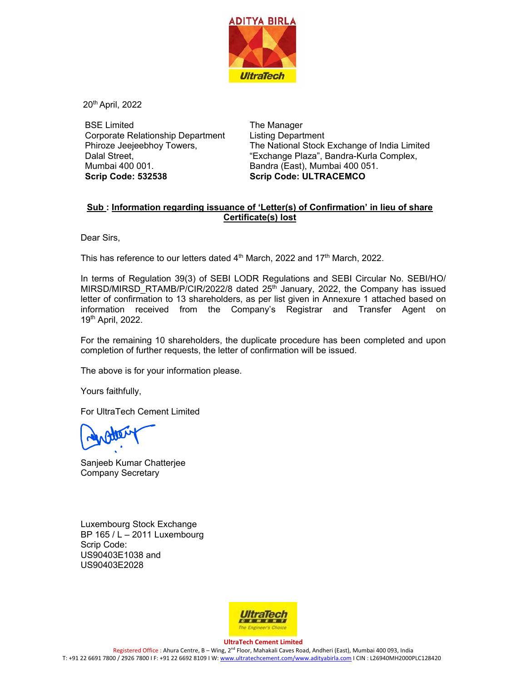

20th April, 2022

BSE Limited Corporate Relationship Department Phiroze Jeejeebhoy Towers, Dalal Street, Mumbai 400 001. **Scrip Code: 532538** 

The Manager Listing Department The National Stock Exchange of India Limited "Exchange Plaza", Bandra-Kurla Complex, Bandra (East), Mumbai 400 051. **Scrip Code: ULTRACEMCO** 

## **Sub : Information regarding issuance of 'Letter(s) of Confirmation' in lieu of share Certificate(s) lost**

Dear Sirs,

This has reference to our letters dated  $4<sup>th</sup>$  March, 2022 and 17<sup>th</sup> March, 2022.

In terms of Regulation 39(3) of SEBI LODR Regulations and SEBI Circular No. SEBI/HO/ MIRSD/MIRSD\_RTAMB/P/CIR/2022/8 dated  $25<sup>th</sup>$  January, 2022, the Company has issued letter of confirmation to 13 shareholders, as per list given in Annexure 1 attached based on information received from the Company's Registrar and Transfer Agent on 19th April, 2022.

For the remaining 10 shareholders, the duplicate procedure has been completed and upon completion of further requests, the letter of confirmation will be issued.

The above is for your information please.

Yours faithfully,

For UltraTech Cement Limited

Sanjeeb Kumar Chatterjee Company Secretary

Luxembourg Stock Exchange BP 165 / L – 2011 Luxembourg Scrip Code: US90403E1038 and US90403E2028



**UltraTech Cement Limited**